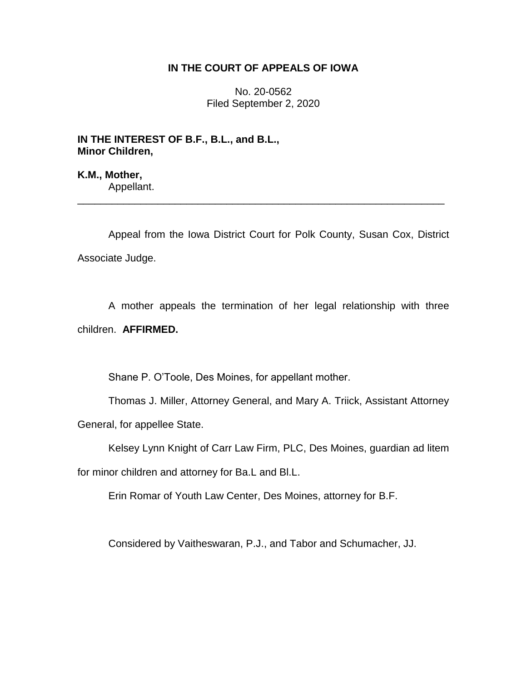## **IN THE COURT OF APPEALS OF IOWA**

No. 20-0562 Filed September 2, 2020

**IN THE INTEREST OF B.F., B.L., and B.L., Minor Children,**

**K.M., Mother,** Appellant.

Appeal from the Iowa District Court for Polk County, Susan Cox, District Associate Judge.

\_\_\_\_\_\_\_\_\_\_\_\_\_\_\_\_\_\_\_\_\_\_\_\_\_\_\_\_\_\_\_\_\_\_\_\_\_\_\_\_\_\_\_\_\_\_\_\_\_\_\_\_\_\_\_\_\_\_\_\_\_\_\_\_

A mother appeals the termination of her legal relationship with three children. **AFFIRMED.**

Shane P. O'Toole, Des Moines, for appellant mother.

Thomas J. Miller, Attorney General, and Mary A. Triick, Assistant Attorney General, for appellee State.

Kelsey Lynn Knight of Carr Law Firm, PLC, Des Moines, guardian ad litem

for minor children and attorney for Ba.L and Bl.L.

Erin Romar of Youth Law Center, Des Moines, attorney for B.F.

Considered by Vaitheswaran, P.J., and Tabor and Schumacher, JJ.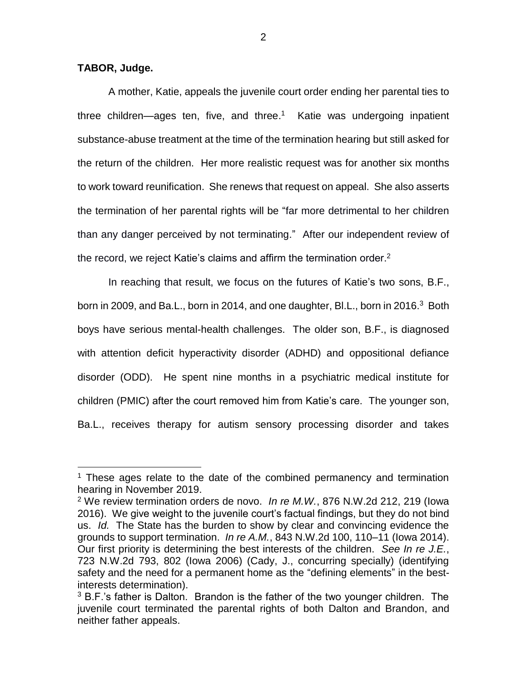**TABOR, Judge.**

 $\overline{a}$ 

A mother, Katie, appeals the juvenile court order ending her parental ties to three children—ages ten, five, and three.<sup>1</sup> Katie was undergoing inpatient substance-abuse treatment at the time of the termination hearing but still asked for the return of the children. Her more realistic request was for another six months to work toward reunification. She renews that request on appeal. She also asserts the termination of her parental rights will be "far more detrimental to her children than any danger perceived by not terminating." After our independent review of the record, we reject Katie's claims and affirm the termination order. $2$ 

In reaching that result, we focus on the futures of Katie's two sons, B.F., born in 2009, and Ba.L., born in 2014, and one daughter, Bl.L., born in 2016.<sup>3</sup> Both boys have serious mental-health challenges. The older son, B.F., is diagnosed with attention deficit hyperactivity disorder (ADHD) and oppositional defiance disorder (ODD). He spent nine months in a psychiatric medical institute for children (PMIC) after the court removed him from Katie's care. The younger son, Ba.L., receives therapy for autism sensory processing disorder and takes

 $1$  These ages relate to the date of the combined permanency and termination hearing in November 2019.

<sup>2</sup> We review termination orders de novo. *In re M.W.*, 876 N.W.2d 212, 219 (Iowa 2016). We give weight to the juvenile court's factual findings, but they do not bind us. *Id.* The State has the burden to show by clear and convincing evidence the grounds to support termination. *In re A.M.*, 843 N.W.2d 100, 110–11 (Iowa 2014). Our first priority is determining the best interests of the children. *See In re J.E.*, 723 N.W.2d 793, 802 (Iowa 2006) (Cady, J., concurring specially) (identifying safety and the need for a permanent home as the "defining elements" in the bestinterests determination).

 $3$  B.F.'s father is Dalton. Brandon is the father of the two younger children. The juvenile court terminated the parental rights of both Dalton and Brandon, and neither father appeals.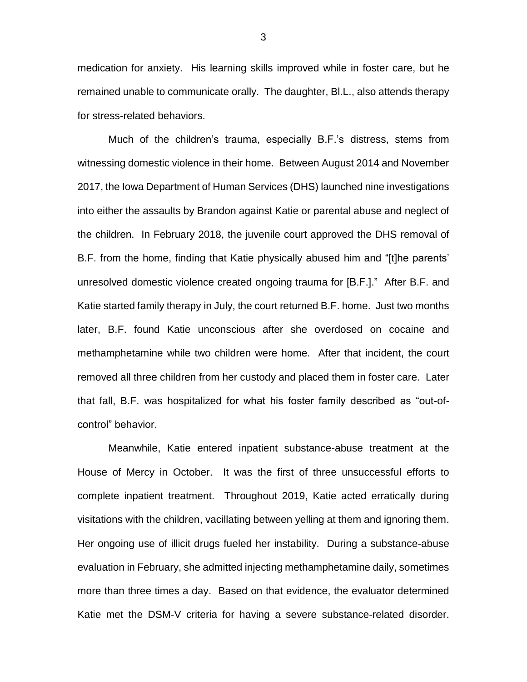medication for anxiety. His learning skills improved while in foster care, but he remained unable to communicate orally. The daughter, Bl.L., also attends therapy for stress-related behaviors.

Much of the children's trauma, especially B.F.'s distress, stems from witnessing domestic violence in their home. Between August 2014 and November 2017, the Iowa Department of Human Services (DHS) launched nine investigations into either the assaults by Brandon against Katie or parental abuse and neglect of the children. In February 2018, the juvenile court approved the DHS removal of B.F. from the home, finding that Katie physically abused him and "[t]he parents' unresolved domestic violence created ongoing trauma for [B.F.]." After B.F. and Katie started family therapy in July, the court returned B.F. home. Just two months later, B.F. found Katie unconscious after she overdosed on cocaine and methamphetamine while two children were home. After that incident, the court removed all three children from her custody and placed them in foster care. Later that fall, B.F. was hospitalized for what his foster family described as "out-ofcontrol" behavior.

Meanwhile, Katie entered inpatient substance-abuse treatment at the House of Mercy in October. It was the first of three unsuccessful efforts to complete inpatient treatment. Throughout 2019, Katie acted erratically during visitations with the children, vacillating between yelling at them and ignoring them. Her ongoing use of illicit drugs fueled her instability. During a substance-abuse evaluation in February, she admitted injecting methamphetamine daily, sometimes more than three times a day. Based on that evidence, the evaluator determined Katie met the DSM-V criteria for having a severe substance-related disorder.

3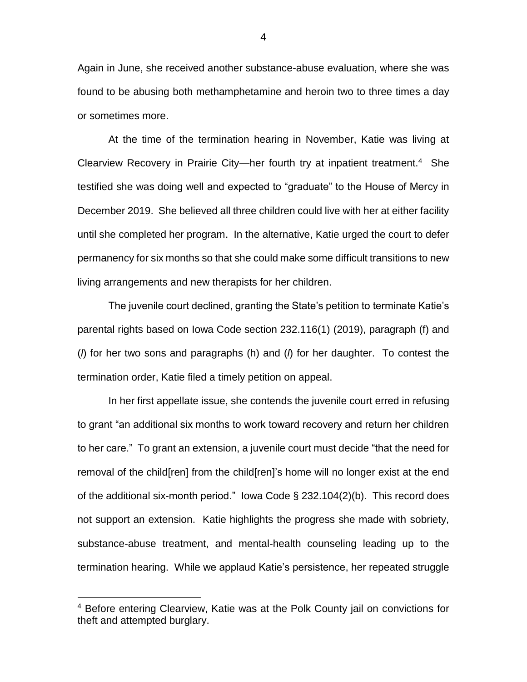Again in June, she received another substance-abuse evaluation, where she was found to be abusing both methamphetamine and heroin two to three times a day or sometimes more.

At the time of the termination hearing in November, Katie was living at Clearview Recovery in Prairie City—her fourth try at inpatient treatment.<sup>4</sup> She testified she was doing well and expected to "graduate" to the House of Mercy in December 2019. She believed all three children could live with her at either facility until she completed her program. In the alternative, Katie urged the court to defer permanency for six months so that she could make some difficult transitions to new living arrangements and new therapists for her children.

The juvenile court declined, granting the State's petition to terminate Katie's parental rights based on Iowa Code section 232.116(1) (2019), paragraph (f) and (*l*) for her two sons and paragraphs (h) and (*l*) for her daughter. To contest the termination order, Katie filed a timely petition on appeal.

In her first appellate issue, she contends the juvenile court erred in refusing to grant "an additional six months to work toward recovery and return her children to her care." To grant an extension, a juvenile court must decide "that the need for removal of the child[ren] from the child[ren]'s home will no longer exist at the end of the additional six-month period." Iowa Code § 232.104(2)(b). This record does not support an extension. Katie highlights the progress she made with sobriety, substance-abuse treatment, and mental-health counseling leading up to the termination hearing. While we applaud Katie's persistence, her repeated struggle

 $\overline{a}$ 

<sup>4</sup> Before entering Clearview, Katie was at the Polk County jail on convictions for theft and attempted burglary.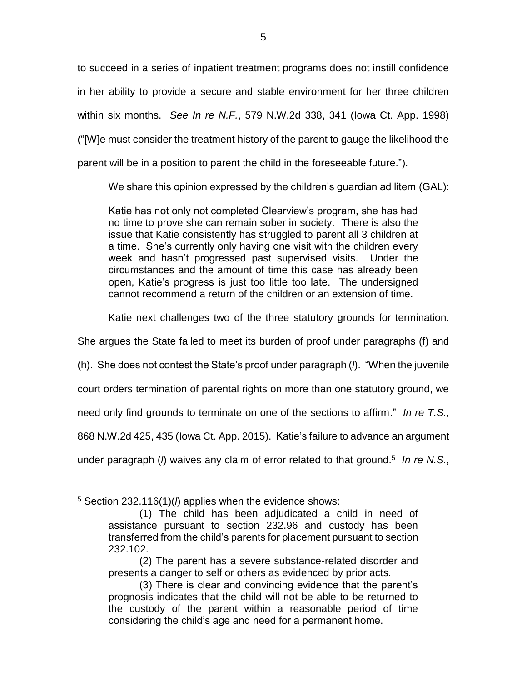to succeed in a series of inpatient treatment programs does not instill confidence in her ability to provide a secure and stable environment for her three children within six months. *See In re N.F.*, 579 N.W.2d 338, 341 (Iowa Ct. App. 1998) ("[W]e must consider the treatment history of the parent to gauge the likelihood the parent will be in a position to parent the child in the foreseeable future.").

We share this opinion expressed by the children's quardian ad litem (GAL):

Katie has not only not completed Clearview's program, she has had no time to prove she can remain sober in society. There is also the issue that Katie consistently has struggled to parent all 3 children at a time. She's currently only having one visit with the children every week and hasn't progressed past supervised visits. Under the circumstances and the amount of time this case has already been open, Katie's progress is just too little too late. The undersigned cannot recommend a return of the children or an extension of time.

Katie next challenges two of the three statutory grounds for termination.

She argues the State failed to meet its burden of proof under paragraphs (f) and

(h). She does not contest the State's proof under paragraph (*l*). "When the juvenile

court orders termination of parental rights on more than one statutory ground, we

need only find grounds to terminate on one of the sections to affirm." *In re T.S.*,

868 N.W.2d 425, 435 (Iowa Ct. App. 2015). Katie's failure to advance an argument

under paragraph (*l*) waives any claim of error related to that ground. 5 *In re N.S.*,

 $\overline{a}$ 

<sup>5</sup> Section 232.116(1)(*l*) applies when the evidence shows:

<sup>(1)</sup> The child has been adjudicated a child in need of assistance pursuant to section 232.96 and custody has been transferred from the child's parents for placement pursuant to section 232.102.

<sup>(2)</sup> The parent has a severe substance-related disorder and presents a danger to self or others as evidenced by prior acts.

<sup>(3)</sup> There is clear and convincing evidence that the parent's prognosis indicates that the child will not be able to be returned to the custody of the parent within a reasonable period of time considering the child's age and need for a permanent home.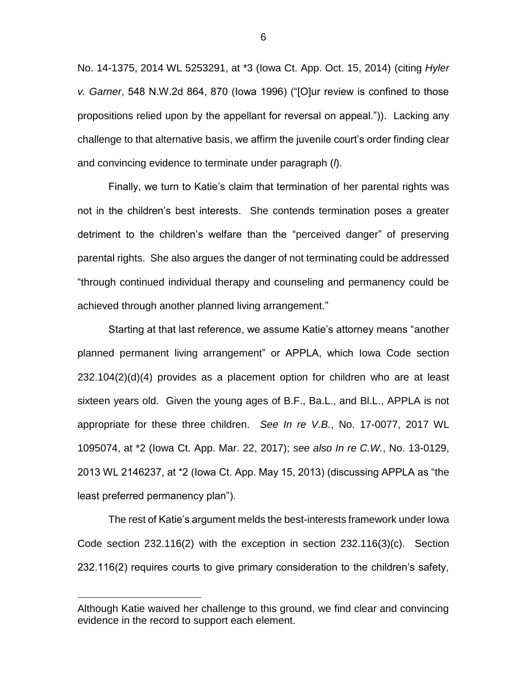No. 14-1375, 2014 WL 5253291, at \*3 (Iowa Ct. App. Oct. 15, 2014) (citing *Hyler v. Garner*, 548 N.W.2d 864, 870 (Iowa 1996) ("[O]ur review is confined to those propositions relied upon by the appellant for reversal on appeal.")). Lacking any challenge to that alternative basis, we affirm the juvenile court's order finding clear and convincing evidence to terminate under paragraph (*l*).

Finally, we turn to Katie's claim that termination of her parental rights was not in the children's best interests. She contends termination poses a greater detriment to the children's welfare than the "perceived danger" of preserving parental rights. She also argues the danger of not terminating could be addressed "through continued individual therapy and counseling and permanency could be achieved through another planned living arrangement."

Starting at that last reference, we assume Katie's attorney means "another planned permanent living arrangement" or APPLA, which Iowa Code section 232.104(2)(d)(4) provides as a placement option for children who are at least sixteen years old. Given the young ages of B.F., Ba.L., and Bl.L., APPLA is not appropriate for these three children. *See In re V.B.*, No. 17-0077, 2017 WL 1095074, at \*2 (Iowa Ct. App. Mar. 22, 2017); *see also In re C.W.*, No. 13-0129, 2013 WL 2146237, at \*2 (Iowa Ct. App. May 15, 2013) (discussing APPLA as "the least preferred permanency plan").

The rest of Katie's argument melds the best-interests framework under Iowa Code section 232.116(2) with the exception in section 232.116(3)(c). Section 232.116(2) requires courts to give primary consideration to the children's safety,

 $\overline{a}$ 

6

Although Katie waived her challenge to this ground, we find clear and convincing evidence in the record to support each element.